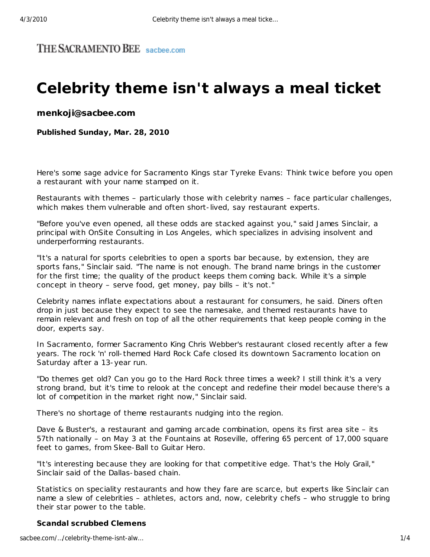## THE SACRAMENTO BEE sachee.com

## **Celebrity theme isn't always a meal ticket**

**menkoji@sacbee.com**

**Published Sunday, Mar. 28, 2010**

Here's some sage advice for Sacramento Kings star Tyreke Evans: Think twice before you open a restaurant with your name stamped on it.

Restaurants with themes – particularly those with celebrity names – face particular challenges, which makes them vulnerable and often short-lived, say restaurant experts.

"Before you've even opened, all these odds are stacked against you," said James Sinclair, a principal with OnSite Consulting in Los Angeles, which specializes in advising insolvent and underperforming restaurants.

"It's a natural for sports celebrities to open a sports bar because, by extension, they are sports fans," Sinclair said. "The name is not enough. The brand name brings in the customer for the first time; the quality of the product keeps them coming back. While it's a simple concept in theory – serve food, get money, pay bills – it's not."

Celebrity names inflate expectations about a restaurant for consumers, he said. Diners often drop in just because they expect to see the namesake, and themed restaurants have to remain relevant and fresh on top of all the other requirements that keep people coming in the door, experts say.

In Sacramento, former Sacramento King Chris Webber's restaurant closed recently after a few years. The rock 'n' roll-themed Hard Rock Cafe closed its downtown Sacramento location on Saturday after a 13-year run.

"Do themes get old? Can you go to the Hard Rock three times a week? I still think it's a very strong brand, but it's time to relook at the concept and redefine their model because there's a lot of competition in the market right now," Sinclair said.

There's no shortage of theme restaurants nudging into the region.

Dave & Buster's, a restaurant and gaming arcade combination, opens its first area site - its 57th nationally – on May 3 at the Fountains at Roseville, offering 65 percent of 17,000 square feet to games, from Skee-Ball to Guitar Hero.

"It's interesting because they are looking for that competitive edge. That's the Holy Grail," Sinclair said of the Dallas-based chain.

Statistics on speciality restaurants and how they fare are scarce, but experts like Sinclair can name a slew of celebrities – athletes, actors and, now, celebrity chefs – who struggle to bring their star power to the table.

**Scandal scrubbed Clemens**

sacbee.com/…/celebrity-theme-isnt-alw… 1/4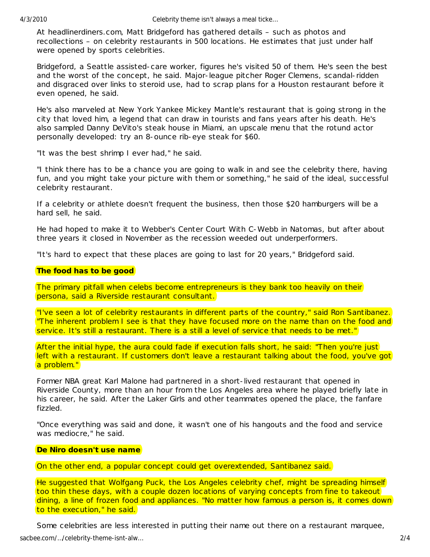At headlinerdiners.com, Matt Bridgeford has gathered details € such as photos and recollections € on celebrity restaurants in 500 locations. He estimates that just under half were opened by sports celebrities.

Bridgeford, a Seattle assisted-care worker, figures he's visited 50 of them. He's seen the best and the worst of the concept, he said. Major-league pitcher Roger Clemens, scandal-ridden and disgraced over links to steroid use, had to scrap plans for a Houston restaurant before it even opened, he said.

He's also marveled at New York Yankee Mickey Mantle's restaurant that is going strong in the city that loved him, a legend that can draw in tourists and fans years after his death. He's also sampled Danny DeVito's steak house in Miami, an upscale menu that the rotund actor personally developed: try an 8-ounce rib-eye steak for \$60.

"It was the best shrimp I ever had," he said.

"I think there has to be a chance you are going to walk in and see the celebrity there, having fun, and you might take your picture with them or something," he said of the ideal, successful celebrity restaurant.

If a celebrity or athlete doesn't frequent the business, then those \$20 hamburgers will be a hard sell, he said.

He had hoped to make it to Webber's Center Court With C-Webb in Natomas, but after about three years it closed in November as the recession weeded out underperformers.

"It's hard to expect that these places are going to last for 20 years," Bridgeford said.

The food has to be good

The primary pitfall when celebs become entrepreneurs is they bank too heavily on their persona, said a Riverside restaurant consultant.

"I've seen a lot of celebrity restaurants in different parts of the country," said Ron Santibanez. "The inherent problem I see is that they have focused more on the name than on the food and service. It's still a restaurant. There is a still a level of service that needs to be met."

After the initial hype, the aura could fade if execution falls short, he said: "Then you're just left with a restaurant. If customers don't leave a restaurant talking about the food, you've got a problem."

Former NBA great Karl Malone had partnered in a short-lived restaurant that opened in Riverside County, more than an hour from the Los Angeles area where he played briefly late in his career, he said. After the Laker Girls and other teammates opened the place, the fanfare fizzled.

"Once everything was said and done, it wasn't one of his hangouts and the food and service was mediocre," he said.

De Niro doesn't use name

On the other end, a popular concept could get overextended, Santibanez said.

He suggested that Wolfgang Puck, the Los Angeles celebrity chef, might be spreading himself too thin these days, with a couple dozen locations of varying concepts from fine to takeout dining, a line of frozen food and appliances. "No matter how famous a person is, it comes down to the execution," he said.

Some celebrities are less interested in putting their name out there on a restaurant marquee,

sacbee.com/€/celebrity-theme-isnt-alw€ 2/4